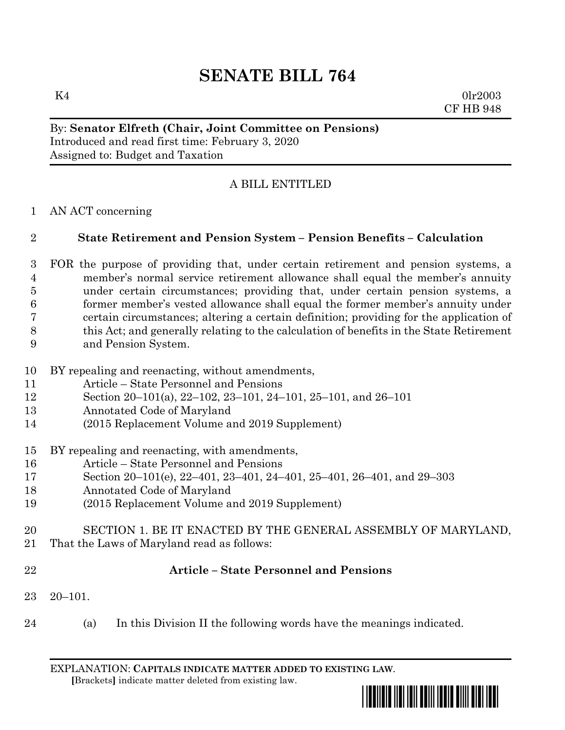$K4$  0lr2003 CF HB 948

## By: **Senator Elfreth (Chair, Joint Committee on Pensions)** Introduced and read first time: February 3, 2020 Assigned to: Budget and Taxation

# A BILL ENTITLED

AN ACT concerning

# **State Retirement and Pension System – Pension Benefits – Calculation**

- FOR the purpose of providing that, under certain retirement and pension systems, a member's normal service retirement allowance shall equal the member's annuity under certain circumstances; providing that, under certain pension systems, a former member's vested allowance shall equal the former member's annuity under certain circumstances; altering a certain definition; providing for the application of this Act; and generally relating to the calculation of benefits in the State Retirement and Pension System.
- BY repealing and reenacting, without amendments,
- Article State Personnel and Pensions
- Section 20–101(a), 22–102, 23–101, 24–101, 25–101, and 26–101
- Annotated Code of Maryland
- (2015 Replacement Volume and 2019 Supplement)
- BY repealing and reenacting, with amendments,
- Article State Personnel and Pensions
- Section 20–101(e), 22–401, 23–401, 24–401, 25–401, 26–401, and 29–303
- Annotated Code of Maryland
- (2015 Replacement Volume and 2019 Supplement)
- SECTION 1. BE IT ENACTED BY THE GENERAL ASSEMBLY OF MARYLAND,
- That the Laws of Maryland read as follows:
- 

# **Article – State Personnel and Pensions**

- 20–101.
- (a) In this Division II the following words have the meanings indicated.

EXPLANATION: **CAPITALS INDICATE MATTER ADDED TO EXISTING LAW**.  **[**Brackets**]** indicate matter deleted from existing law.

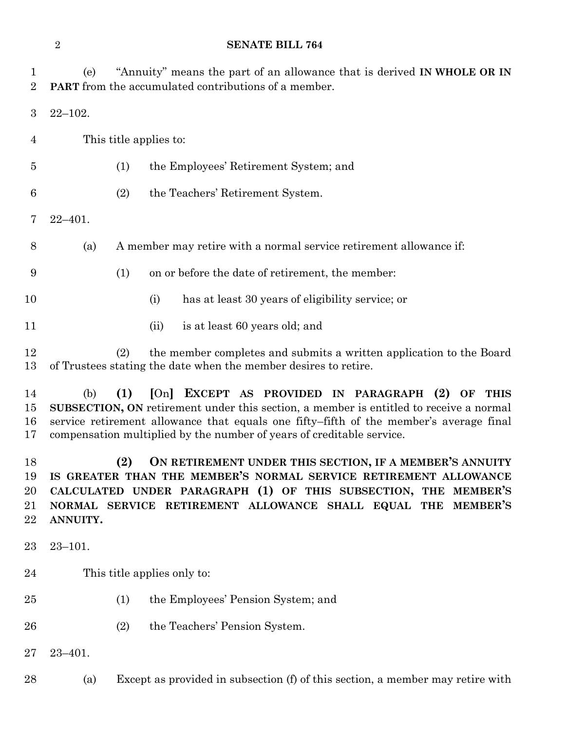(e) "Annuity" means the part of an allowance that is derived **IN WHOLE OR IN PART** from the accumulated contributions of a member.

22–102.

This title applies to:

- (1) the Employees' Retirement System; and
- (2) the Teachers' Retirement System.
- 22–401.
- (a) A member may retire with a normal service retirement allowance if:
- (1) on or before the date of retirement, the member:
- (i) has at least 30 years of eligibility service; or
- 11 (ii) is at least 60 years old; and

 (2) the member completes and submits a written application to the Board of Trustees stating the date when the member desires to retire.

 (b) **(1) [**On**] EXCEPT AS PROVIDED IN PARAGRAPH (2) OF THIS SUBSECTION, ON** retirement under this section, a member is entitled to receive a normal service retirement allowance that equals one fifty–fifth of the member's average final compensation multiplied by the number of years of creditable service.

 **(2) ON RETIREMENT UNDER THIS SECTION, IF A MEMBER'S ANNUITY IS GREATER THAN THE MEMBER'S NORMAL SERVICE RETIREMENT ALLOWANCE CALCULATED UNDER PARAGRAPH (1) OF THIS SUBSECTION, THE MEMBER'S NORMAL SERVICE RETIREMENT ALLOWANCE SHALL EQUAL THE MEMBER'S ANNUITY.**

23–101.

- This title applies only to:
- (1) the Employees' Pension System; and
- (2) the Teachers' Pension System.
- 23–401.
- (a) Except as provided in subsection (f) of this section, a member may retire with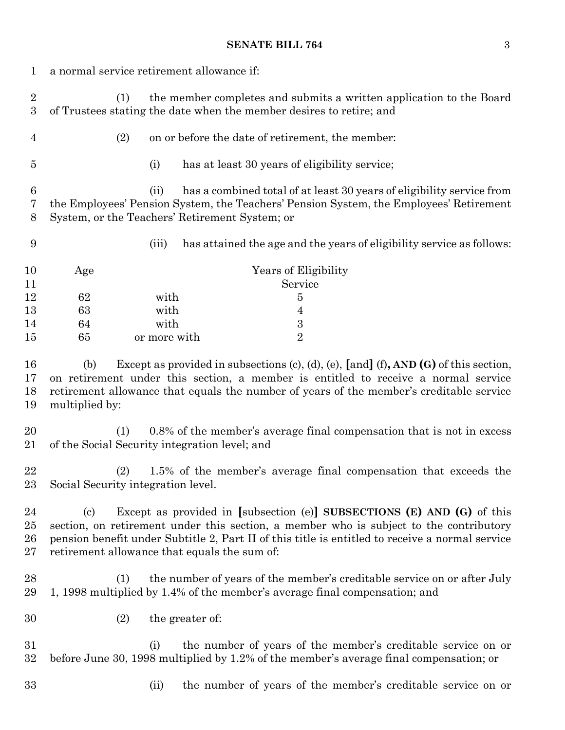| 1                              | a normal service retirement allowance if:                                                                                                                                                                                                                                                                                                             |                                      |                                                                                                                                                        |  |  |
|--------------------------------|-------------------------------------------------------------------------------------------------------------------------------------------------------------------------------------------------------------------------------------------------------------------------------------------------------------------------------------------------------|--------------------------------------|--------------------------------------------------------------------------------------------------------------------------------------------------------|--|--|
| $\sqrt{2}$<br>$\boldsymbol{3}$ | (1)                                                                                                                                                                                                                                                                                                                                                   |                                      | the member completes and submits a written application to the Board<br>of Trustees stating the date when the member desires to retire; and             |  |  |
| $\overline{4}$                 | (2)                                                                                                                                                                                                                                                                                                                                                   |                                      | on or before the date of retirement, the member:                                                                                                       |  |  |
| $\overline{5}$                 |                                                                                                                                                                                                                                                                                                                                                       | (i)                                  | has at least 30 years of eligibility service;                                                                                                          |  |  |
| $\,6$<br>7<br>8                | has a combined total of at least 30 years of eligibility service from<br>(ii)<br>the Employees' Pension System, the Teachers' Pension System, the Employees' Retirement<br>System, or the Teachers' Retirement System; or                                                                                                                             |                                      |                                                                                                                                                        |  |  |
| 9                              |                                                                                                                                                                                                                                                                                                                                                       | (iii)                                | has attained the age and the years of eligibility service as follows:                                                                                  |  |  |
| 10<br>11                       | Years of Eligibility<br>Age<br>Service                                                                                                                                                                                                                                                                                                                |                                      |                                                                                                                                                        |  |  |
| 12<br>13<br>14<br>15           | 62<br>63<br>64<br>65                                                                                                                                                                                                                                                                                                                                  | with<br>with<br>with<br>or more with | $\overline{5}$<br>4<br>$\sqrt{3}$<br>$\overline{2}$                                                                                                    |  |  |
| 16<br>17<br>18<br>19           | Except as provided in subsections (c), (d), (e), [and] $(f)$ , AND $(G)$ of this section,<br>(b)<br>on retirement under this section, a member is entitled to receive a normal service<br>retirement allowance that equals the number of years of the member's creditable service<br>multiplied by:                                                   |                                      |                                                                                                                                                        |  |  |
| 20<br>21                       | 0.8% of the member's average final compensation that is not in excess<br>(1)<br>of the Social Security integration level; and                                                                                                                                                                                                                         |                                      |                                                                                                                                                        |  |  |
| 22<br>23                       | (2)<br>1.5% of the member's average final compensation that exceeds the<br>Social Security integration level.                                                                                                                                                                                                                                         |                                      |                                                                                                                                                        |  |  |
| 24<br>25<br>26<br>27           | Except as provided in [subsection (e)] SUBSECTIONS $(E)$ AND $(G)$ of this<br>$\left( \mathrm{c}\right)$<br>section, on retirement under this section, a member who is subject to the contributory<br>pension benefit under Subtitle 2, Part II of this title is entitled to receive a normal service<br>retirement allowance that equals the sum of: |                                      |                                                                                                                                                        |  |  |
| 28<br>29                       | the number of years of the member's creditable service on or after July<br>(1)<br>1, 1998 multiplied by 1.4% of the member's average final compensation; and                                                                                                                                                                                          |                                      |                                                                                                                                                        |  |  |
| 30                             | (2)                                                                                                                                                                                                                                                                                                                                                   |                                      | the greater of:                                                                                                                                        |  |  |
| 31<br>32                       |                                                                                                                                                                                                                                                                                                                                                       | (i)                                  | the number of years of the member's creditable service on or<br>before June 30, 1998 multiplied by 1.2% of the member's average final compensation; or |  |  |
| 33                             |                                                                                                                                                                                                                                                                                                                                                       | (ii)                                 | the number of years of the member's creditable service on or                                                                                           |  |  |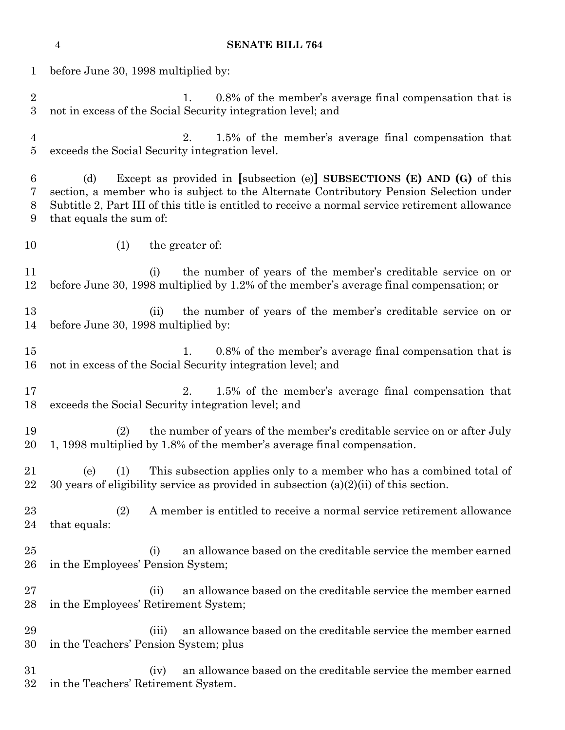|                                  | <b>SENATE BILL 764</b><br>$\overline{4}$                                                                                                                                                                                                                                                                  |  |  |  |  |
|----------------------------------|-----------------------------------------------------------------------------------------------------------------------------------------------------------------------------------------------------------------------------------------------------------------------------------------------------------|--|--|--|--|
| $\mathbf 1$                      | before June 30, 1998 multiplied by:                                                                                                                                                                                                                                                                       |  |  |  |  |
| $\overline{2}$<br>3              | 0.8% of the member's average final compensation that is<br>1.<br>not in excess of the Social Security integration level; and                                                                                                                                                                              |  |  |  |  |
| $\overline{4}$<br>$\overline{5}$ | 2.<br>1.5% of the member's average final compensation that<br>exceeds the Social Security integration level.                                                                                                                                                                                              |  |  |  |  |
| 6<br>7<br>8<br>9                 | Except as provided in [subsection (e)] SUBSECTIONS $(E)$ AND $(G)$ of this<br>(d)<br>section, a member who is subject to the Alternate Contributory Pension Selection under<br>Subtitle 2, Part III of this title is entitled to receive a normal service retirement allowance<br>that equals the sum of: |  |  |  |  |
| 10                               | (1)<br>the greater of:                                                                                                                                                                                                                                                                                    |  |  |  |  |
| 11<br>12                         | the number of years of the member's creditable service on or<br>(i)<br>before June 30, 1998 multiplied by 1.2% of the member's average final compensation; or                                                                                                                                             |  |  |  |  |
| 13<br>14                         | the number of years of the member's creditable service on or<br>(ii)<br>before June 30, 1998 multiplied by:                                                                                                                                                                                               |  |  |  |  |
| 15<br>16                         | 0.8% of the member's average final compensation that is<br>1.<br>not in excess of the Social Security integration level; and                                                                                                                                                                              |  |  |  |  |
| 17<br>18                         | 1.5% of the member's average final compensation that<br>2.<br>exceeds the Social Security integration level; and                                                                                                                                                                                          |  |  |  |  |
| 19<br>20                         | the number of years of the member's creditable service on or after July<br>(2)<br>1, 1998 multiplied by 1.8% of the member's average final compensation.                                                                                                                                                  |  |  |  |  |
| 21<br>22                         | This subsection applies only to a member who has a combined total of<br>(1)<br>(e)<br>30 years of eligibility service as provided in subsection $(a)(2)(ii)$ of this section.                                                                                                                             |  |  |  |  |
| $^{23}$<br>24                    | A member is entitled to receive a normal service retirement allowance<br>(2)<br>that equals:                                                                                                                                                                                                              |  |  |  |  |
| $25\,$<br>$26\,$                 | an allowance based on the creditable service the member earned<br>(i)<br>in the Employees' Pension System;                                                                                                                                                                                                |  |  |  |  |
| $27\,$<br>28                     | an allowance based on the creditable service the member earned<br>(ii)<br>in the Employees' Retirement System;                                                                                                                                                                                            |  |  |  |  |
| 29<br>30                         | an allowance based on the creditable service the member earned<br>(iii)<br>in the Teachers' Pension System; plus                                                                                                                                                                                          |  |  |  |  |
| $31\,$<br>$32\,$                 | an allowance based on the creditable service the member earned<br>(iv)<br>in the Teachers' Retirement System.                                                                                                                                                                                             |  |  |  |  |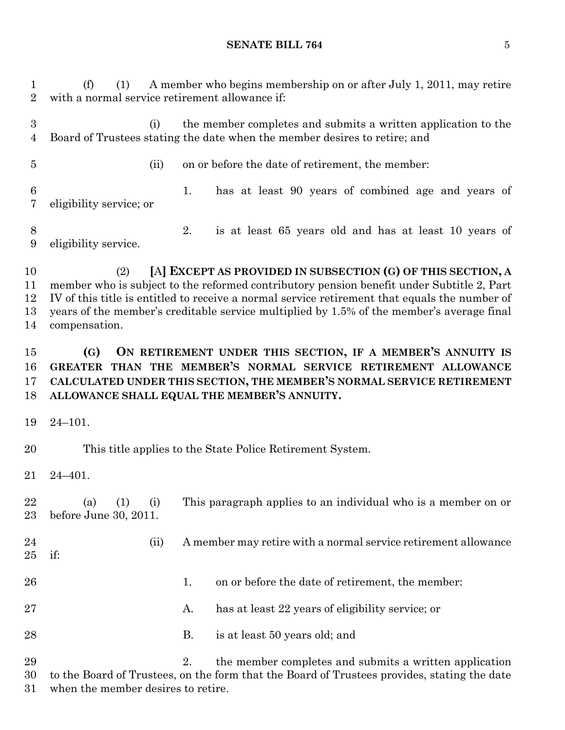(f) (1) A member who begins membership on or after July 1, 2011, may retire with a normal service retirement allowance if: (i) the member completes and submits a written application to the Board of Trustees stating the date when the member desires to retire; and (ii) on or before the date of retirement, the member: 1. has at least 90 years of combined age and years of eligibility service; or 2. is at least 65 years old and has at least 10 years of eligibility service. (2) **[**A**] EXCEPT AS PROVIDED IN SUBSECTION (G) OF THIS SECTION, A** member who is subject to the reformed contributory pension benefit under Subtitle 2, Part IV of this title is entitled to receive a normal service retirement that equals the number of years of the member's creditable service multiplied by 1.5% of the member's average final compensation. **(G) ON RETIREMENT UNDER THIS SECTION, IF A MEMBER'S ANNUITY IS GREATER THAN THE MEMBER'S NORMAL SERVICE RETIREMENT ALLOWANCE CALCULATED UNDER THIS SECTION, THE MEMBER'S NORMAL SERVICE RETIREMENT ALLOWANCE SHALL EQUAL THE MEMBER'S ANNUITY.** 24–101. This title applies to the State Police Retirement System.

24–401.

 (a) (1) (i) This paragraph applies to an individual who is a member on or before June 30, 2011.

 (ii) A member may retire with a normal service retirement allowance if:

- 26 26 1. on or before the date of retirement, the member:
- 27 A. has at least 22 years of eligibility service; or
- 28 B. is at least 50 years old; and

29 2. the member completes and submits a written application to the Board of Trustees, on the form that the Board of Trustees provides, stating the date when the member desires to retire.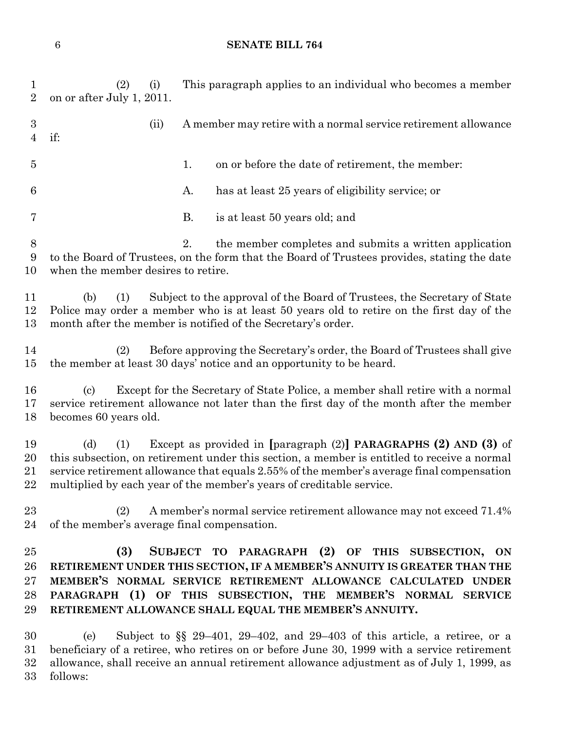(2) (i) This paragraph applies to an individual who becomes a member on or after July 1, 2011. (ii) A member may retire with a normal service retirement allowance if: 1. on or before the date of retirement, the member: A. has at least 25 years of eligibility service; or B. is at least 50 years old; and 2. the member completes and submits a written application to the Board of Trustees, on the form that the Board of Trustees provides, stating the date when the member desires to retire. (b) (1) Subject to the approval of the Board of Trustees, the Secretary of State Police may order a member who is at least 50 years old to retire on the first day of the month after the member is notified of the Secretary's order. (2) Before approving the Secretary's order, the Board of Trustees shall give the member at least 30 days' notice and an opportunity to be heard. (c) Except for the Secretary of State Police, a member shall retire with a normal service retirement allowance not later than the first day of the month after the member becomes 60 years old. (d) (1) Except as provided in **[**paragraph (2)**] PARAGRAPHS (2) AND (3)** of this subsection, on retirement under this section, a member is entitled to receive a normal service retirement allowance that equals 2.55% of the member's average final compensation multiplied by each year of the member's years of creditable service. (2) A member's normal service retirement allowance may not exceed 71.4% of the member's average final compensation. **(3) SUBJECT TO PARAGRAPH (2) OF THIS SUBSECTION, ON RETIREMENT UNDER THIS SECTION, IF A MEMBER'S ANNUITY IS GREATER THAN THE MEMBER'S NORMAL SERVICE RETIREMENT ALLOWANCE CALCULATED UNDER PARAGRAPH (1) OF THIS SUBSECTION, THE MEMBER'S NORMAL SERVICE RETIREMENT ALLOWANCE SHALL EQUAL THE MEMBER'S ANNUITY.** (e) Subject to §§ 29–401, 29–402, and 29–403 of this article, a retiree, or a beneficiary of a retiree, who retires on or before June 30, 1999 with a service retirement

allowance, shall receive an annual retirement allowance adjustment as of July 1, 1999, as

follows: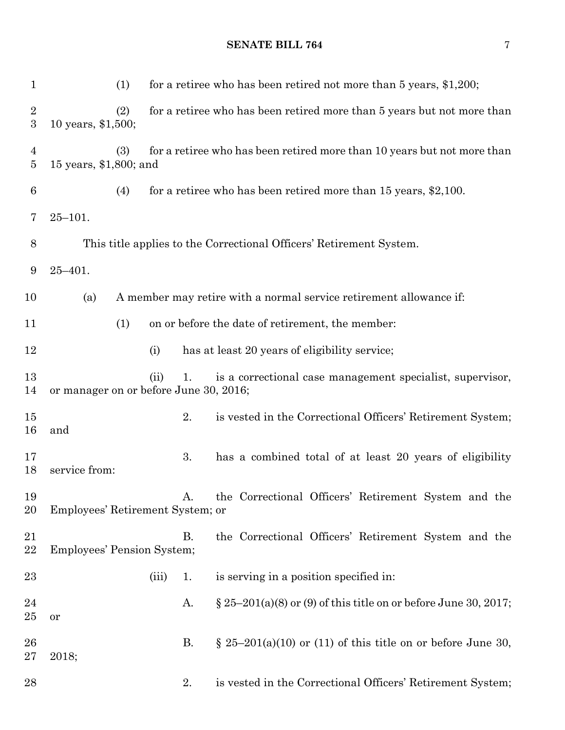1 (1) for a retiree who has been retired not more than 5 years, \$1,200; (2) for a retiree who has been retired more than 5 years but not more than 10 years, \$1,500; (3) for a retiree who has been retired more than 10 years but not more than 15 years, \$1,800; and (4) for a retiree who has been retired more than 15 years, \$2,100. 25–101. This title applies to the Correctional Officers' Retirement System. 25–401. (a) A member may retire with a normal service retirement allowance if: (1) on or before the date of retirement, the member: (i) has at least 20 years of eligibility service; (ii) 1. is a correctional case management specialist, supervisor, or manager on or before June 30, 2016; 2. is vested in the Correctional Officers' Retirement System; and 17 3. has a combined total of at least 20 years of eligibility service from: A. the Correctional Officers' Retirement System and the Employees' Retirement System; or B. the Correctional Officers' Retirement System and the Employees' Pension System; 23 (iii) 1. is serving in a position specified in: 24 A.  $\S 25-201(a)(8)$  or (9) of this title on or before June 30, 2017; or 26 B.  $\S$  25–201(a)(10) or (11) of this title on or before June 30,

2018;

#### **SENATE BILL 764** 7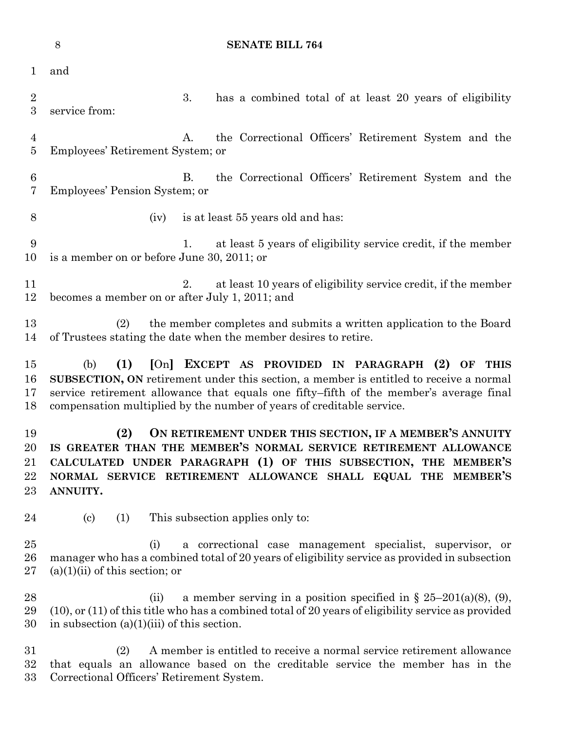|                            | $8\,$<br><b>SENATE BILL 764</b>                                                                                                                                                                                                                                                                                             |                                                                                                                                                                                  |  |  |  |
|----------------------------|-----------------------------------------------------------------------------------------------------------------------------------------------------------------------------------------------------------------------------------------------------------------------------------------------------------------------------|----------------------------------------------------------------------------------------------------------------------------------------------------------------------------------|--|--|--|
| 1                          | and                                                                                                                                                                                                                                                                                                                         |                                                                                                                                                                                  |  |  |  |
| $\overline{2}$<br>3        | service from:                                                                                                                                                                                                                                                                                                               | 3.<br>has a combined total of at least 20 years of eligibility                                                                                                                   |  |  |  |
| 4<br>$\overline{5}$        | Employees' Retirement System; or                                                                                                                                                                                                                                                                                            | the Correctional Officers' Retirement System and the<br>A.                                                                                                                       |  |  |  |
| $6\phantom{.}6$<br>7       | Employees' Pension System; or                                                                                                                                                                                                                                                                                               | the Correctional Officers' Retirement System and the<br><b>B.</b>                                                                                                                |  |  |  |
| 8                          | (iv)                                                                                                                                                                                                                                                                                                                        | is at least 55 years old and has:                                                                                                                                                |  |  |  |
| 9<br>10                    | is a member on or before June 30, 2011; or                                                                                                                                                                                                                                                                                  | at least 5 years of eligibility service credit, if the member<br>1.                                                                                                              |  |  |  |
| 11<br>12                   | becomes a member on or after July 1, 2011; and                                                                                                                                                                                                                                                                              | at least 10 years of eligibility service credit, if the member<br>2.                                                                                                             |  |  |  |
| 13<br>14                   | the member completes and submits a written application to the Board<br>(2)<br>of Trustees stating the date when the member desires to retire.                                                                                                                                                                               |                                                                                                                                                                                  |  |  |  |
| 15<br>16<br>17<br>18       | (1)<br>[On] EXCEPT AS PROVIDED IN PARAGRAPH (2) OF THIS<br>(b)<br>SUBSECTION, ON retirement under this section, a member is entitled to receive a normal<br>service retirement allowance that equals one fifty-fifth of the member's average final<br>compensation multiplied by the number of years of creditable service. |                                                                                                                                                                                  |  |  |  |
| 19<br>20<br>21<br>22<br>23 | ON RETIREMENT UNDER THIS SECTION, IF A MEMBER'S ANNUITY<br>(2)<br>IS GREATER THAN THE MEMBER'S NORMAL SERVICE RETIREMENT ALLOWANCE<br>CALCULATED UNDER PARAGRAPH (1) OF THIS SUBSECTION, THE MEMBER'S<br>NORMAL SERVICE RETIREMENT ALLOWANCE SHALL EQUAL THE MEMBER'S<br>ANNUITY.                                           |                                                                                                                                                                                  |  |  |  |
| 24                         | $\left( \mathrm{c}\right)$<br>(1)                                                                                                                                                                                                                                                                                           | This subsection applies only to:                                                                                                                                                 |  |  |  |
| 25<br>26<br>$27\,$         | (i)<br>$(a)(1)(ii)$ of this section; or                                                                                                                                                                                                                                                                                     | a correctional case management specialist, supervisor, or<br>manager who has a combined total of 20 years of eligibility service as provided in subsection                       |  |  |  |
| 28<br>29<br>30             | (ii)<br>in subsection $(a)(1)(iii)$ of this section.                                                                                                                                                                                                                                                                        | a member serving in a position specified in $\S 25-201(a)(8)$ , (9),<br>$(10)$ , or $(11)$ of this title who has a combined total of 20 years of eligibility service as provided |  |  |  |
| $31\,$<br>$32\,$<br>33     | (2)<br>Correctional Officers' Retirement System.                                                                                                                                                                                                                                                                            | A member is entitled to receive a normal service retirement allowance<br>that equals an allowance based on the creditable service the member has in the                          |  |  |  |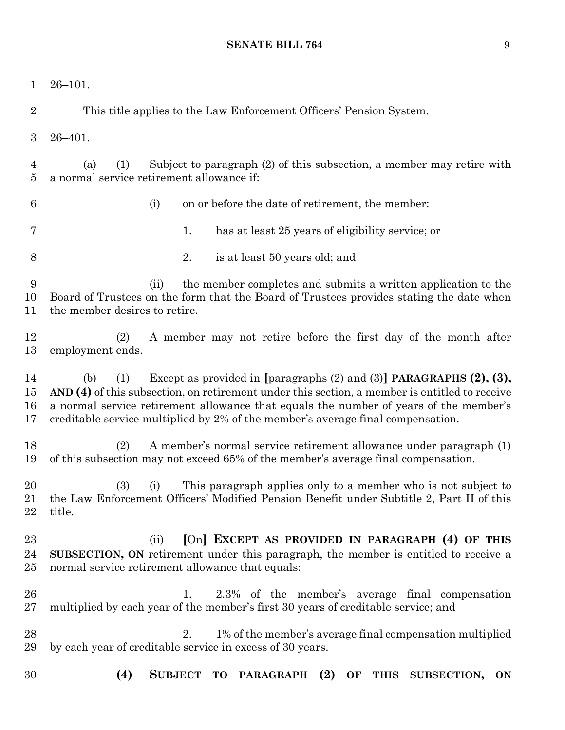26–101. This title applies to the Law Enforcement Officers' Pension System. 26–401. (a) (1) Subject to paragraph (2) of this subsection, a member may retire with a normal service retirement allowance if: (i) on or before the date of retirement, the member: 1. has at least 25 years of eligibility service; or 2. is at least 50 years old; and (ii) the member completes and submits a written application to the Board of Trustees on the form that the Board of Trustees provides stating the date when the member desires to retire. (2) A member may not retire before the first day of the month after employment ends. (b) (1) Except as provided in **[**paragraphs (2) and (3)**] PARAGRAPHS (2), (3), AND (4)** of this subsection, on retirement under this section, a member is entitled to receive a normal service retirement allowance that equals the number of years of the member's creditable service multiplied by 2% of the member's average final compensation. (2) A member's normal service retirement allowance under paragraph (1) of this subsection may not exceed 65% of the member's average final compensation. (3) (i) This paragraph applies only to a member who is not subject to the Law Enforcement Officers' Modified Pension Benefit under Subtitle 2, Part II of this title. (ii) **[**On**] EXCEPT AS PROVIDED IN PARAGRAPH (4) OF THIS SUBSECTION, ON** retirement under this paragraph, the member is entitled to receive a normal service retirement allowance that equals: 1. 2.3% of the member's average final compensation multiplied by each year of the member's first 30 years of creditable service; and 28 2. 2. 2% of the member's average final compensation multiplied by each year of creditable service in excess of 30 years. **(4) SUBJECT TO PARAGRAPH (2) OF THIS SUBSECTION, ON**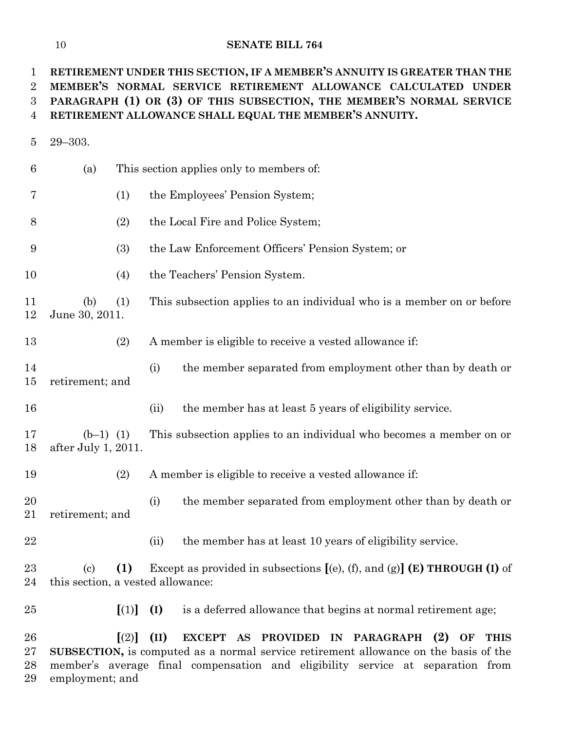**RETIREMENT UNDER THIS SECTION, IF A MEMBER'S ANNUITY IS GREATER THAN THE MEMBER'S NORMAL SERVICE RETIREMENT ALLOWANCE CALCULATED UNDER PARAGRAPH (1) OR (3) OF THIS SUBSECTION, THE MEMBER'S NORMAL SERVICE RETIREMENT ALLOWANCE SHALL EQUAL THE MEMBER'S ANNUITY.**

 29–303. (a) This section applies only to members of: (1) the Employees' Pension System; (2) the Local Fire and Police System; (3) the Law Enforcement Officers' Pension System; or (4) the Teachers' Pension System. (b) (1) This subsection applies to an individual who is a member on or before June 30, 2011. (2) A member is eligible to receive a vested allowance if: 14 (i) the member separated from employment other than by death or retirement; and (ii) the member has at least 5 years of eligibility service. (b–1) (1) This subsection applies to an individual who becomes a member on or after July 1, 2011. (2) A member is eligible to receive a vested allowance if: 20 (i) the member separated from employment other than by death or retirement; and 22 (ii) the member has at least 10 years of eligibility service. (c) **(1)** Except as provided in subsections **[**(e), (f), and (g)**] (E) THROUGH (I)** of this section, a vested allowance: **[**(1)**] (I)** is a deferred allowance that begins at normal retirement age; **[**(2)**] (II) EXCEPT AS PROVIDED IN PARAGRAPH (2) OF THIS SUBSECTION,** is computed as a normal service retirement allowance on the basis of the member's average final compensation and eligibility service at separation from

employment; and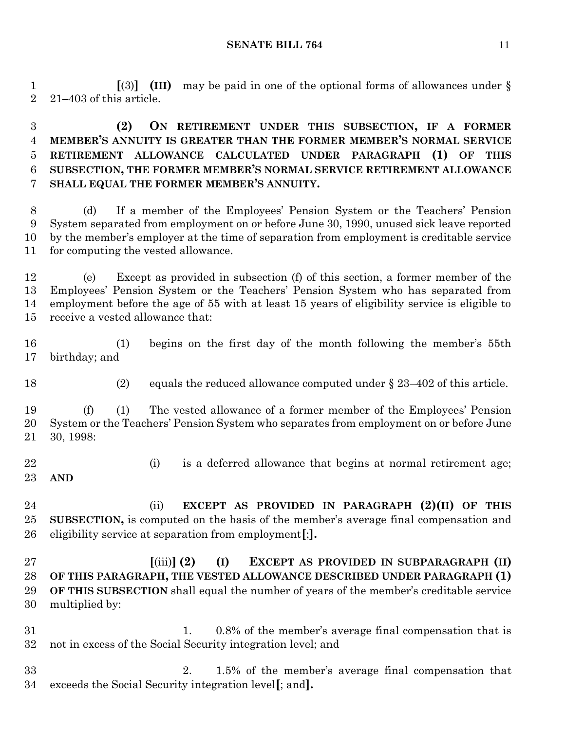**[**(3)**] (III)** may be paid in one of the optional forms of allowances under § 21–403 of this article.

 **(2) ON RETIREMENT UNDER THIS SUBSECTION, IF A FORMER MEMBER'S ANNUITY IS GREATER THAN THE FORMER MEMBER'S NORMAL SERVICE RETIREMENT ALLOWANCE CALCULATED UNDER PARAGRAPH (1) OF THIS SUBSECTION, THE FORMER MEMBER'S NORMAL SERVICE RETIREMENT ALLOWANCE SHALL EQUAL THE FORMER MEMBER'S ANNUITY.**

 (d) If a member of the Employees' Pension System or the Teachers' Pension System separated from employment on or before June 30, 1990, unused sick leave reported by the member's employer at the time of separation from employment is creditable service for computing the vested allowance.

 (e) Except as provided in subsection (f) of this section, a former member of the Employees' Pension System or the Teachers' Pension System who has separated from employment before the age of 55 with at least 15 years of eligibility service is eligible to receive a vested allowance that:

 (1) begins on the first day of the month following the member's 55th birthday; and

18 (2) equals the reduced allowance computed under § 23–402 of this article.

 (f) (1) The vested allowance of a former member of the Employees' Pension System or the Teachers' Pension System who separates from employment on or before June 30, 1998:

22 (i) is a deferred allowance that begins at normal retirement age; **AND**

 (ii) **EXCEPT AS PROVIDED IN PARAGRAPH (2)(II) OF THIS SUBSECTION,** is computed on the basis of the member's average final compensation and eligibility service at separation from employment**[**;**].**

 **[**(iii)**] (2) (I) EXCEPT AS PROVIDED IN SUBPARAGRAPH (II) OF THIS PARAGRAPH, THE VESTED ALLOWANCE DESCRIBED UNDER PARAGRAPH (1) OF THIS SUBSECTION** shall equal the number of years of the member's creditable service multiplied by:

- 31 1. 0.8% of the member's average final compensation that is not in excess of the Social Security integration level; and
- 2. 1.5% of the member's average final compensation that exceeds the Social Security integration level**[**; and**].**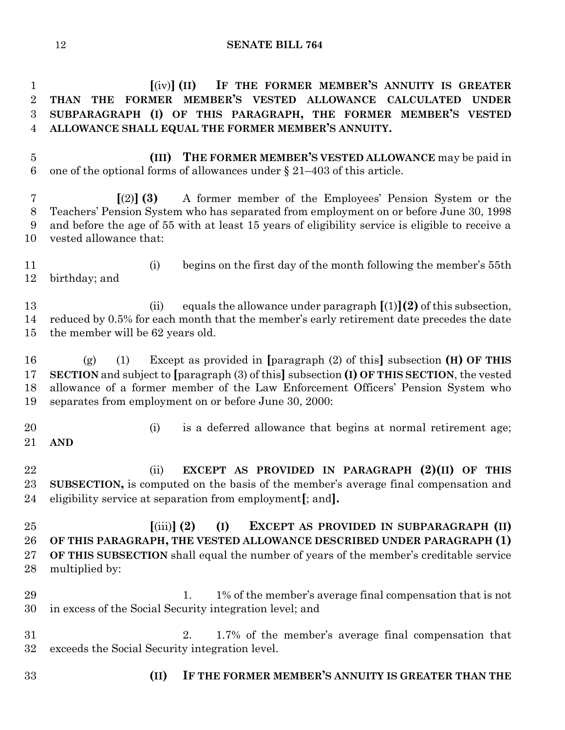**[**(iv)**] (II) IF THE FORMER MEMBER'S ANNUITY IS GREATER THAN THE FORMER MEMBER'S VESTED ALLOWANCE CALCULATED UNDER SUBPARAGRAPH (I) OF THIS PARAGRAPH, THE FORMER MEMBER'S VESTED ALLOWANCE SHALL EQUAL THE FORMER MEMBER'S ANNUITY.**

 **(III) THE FORMER MEMBER'S VESTED ALLOWANCE** may be paid in 6 one of the optional forms of allowances under  $\S 21-403$  of this article.

 **[**(2)**] (3)** A former member of the Employees' Pension System or the Teachers' Pension System who has separated from employment on or before June 30, 1998 and before the age of 55 with at least 15 years of eligibility service is eligible to receive a vested allowance that:

 (i) begins on the first day of the month following the member's 55th birthday; and

 (ii) equals the allowance under paragraph **[**(1)**](2)** of this subsection, reduced by 0.5% for each month that the member's early retirement date precedes the date the member will be 62 years old.

 (g) (1) Except as provided in **[**paragraph (2) of this**]** subsection **(H) OF THIS SECTION** and subject to **[**paragraph (3) of this**]** subsection **(I) OF THIS SECTION**, the vested allowance of a former member of the Law Enforcement Officers' Pension System who separates from employment on or before June 30, 2000:

- (i) is a deferred allowance that begins at normal retirement age; **AND**
- (ii) **EXCEPT AS PROVIDED IN PARAGRAPH (2)(II) OF THIS SUBSECTION,** is computed on the basis of the member's average final compensation and eligibility service at separation from employment**[**; and**].**

 **[**(iii)**] (2) (I) EXCEPT AS PROVIDED IN SUBPARAGRAPH (II) OF THIS PARAGRAPH, THE VESTED ALLOWANCE DESCRIBED UNDER PARAGRAPH (1) OF THIS SUBSECTION** shall equal the number of years of the member's creditable service multiplied by:

- 29 1. 1% of the member's average final compensation that is not in excess of the Social Security integration level; and
- 2. 1.7% of the member's average final compensation that exceeds the Social Security integration level.
- 
- **(II) IF THE FORMER MEMBER'S ANNUITY IS GREATER THAN THE**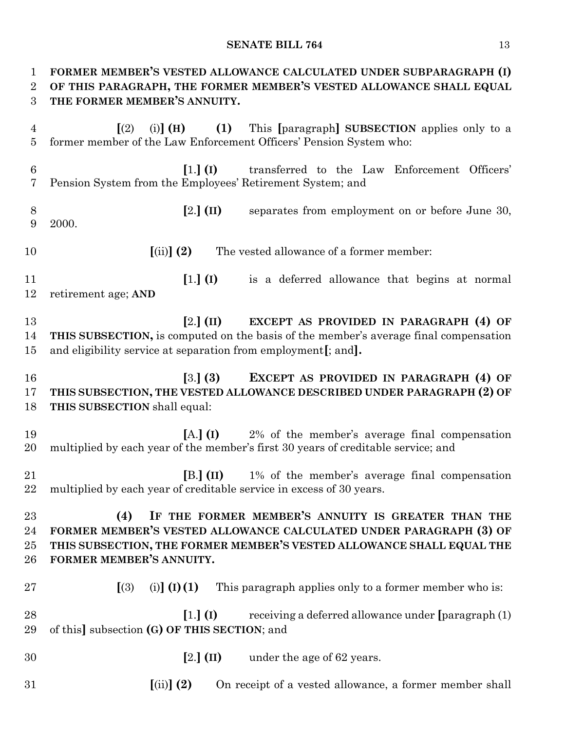| $\mathbf{1}$<br>$\overline{2}$<br>3 | FORMER MEMBER'S VESTED ALLOWANCE CALCULATED UNDER SUBPARAGRAPH (I)<br>OF THIS PARAGRAPH, THE FORMER MEMBER'S VESTED ALLOWANCE SHALL EQUAL<br>THE FORMER MEMBER'S ANNUITY.                                                            |  |  |  |  |
|-------------------------------------|--------------------------------------------------------------------------------------------------------------------------------------------------------------------------------------------------------------------------------------|--|--|--|--|
| 4<br>5                              | (1) This [paragraph] SUBSECTION applies only to a<br>$(i)$ $(H)$<br>$\lceil (2) \rceil$<br>former member of the Law Enforcement Officers' Pension System who:                                                                        |  |  |  |  |
| $\boldsymbol{6}$<br>7               | $\left[1.\right]$ (I)<br>transferred to the Law Enforcement Officers'<br>Pension System from the Employees' Retirement System; and                                                                                                   |  |  |  |  |
| 8<br>9                              | $[2.]$ (II)<br>separates from employment on or before June 30,<br>2000.                                                                                                                                                              |  |  |  |  |
| 10                                  | $(iii)$ (2)<br>The vested allowance of a former member:                                                                                                                                                                              |  |  |  |  |
| 11<br>12                            | $[1.]$ (I)<br>is a deferred allowance that begins at normal<br>retirement age; AND                                                                                                                                                   |  |  |  |  |
| 13<br>14<br>15                      | $[2.]$ (II)<br>EXCEPT AS PROVIDED IN PARAGRAPH (4) OF<br>THIS SUBSECTION, is computed on the basis of the member's average final compensation<br>and eligibility service at separation from employment[; and].                       |  |  |  |  |
| 16<br>17<br>18                      | EXCEPT AS PROVIDED IN PARAGRAPH (4) OF<br>[3.] (3)<br>THIS SUBSECTION, THE VESTED ALLOWANCE DESCRIBED UNDER PARAGRAPH (2) OF<br>THIS SUBSECTION shall equal:                                                                         |  |  |  |  |
| 19<br>20                            | $[A, (I)$ 2% of the member's average final compensation<br>multiplied by each year of the member's first 30 years of creditable service; and                                                                                         |  |  |  |  |
| 21<br>22                            | $[B.](II)$ 1% of the member's average final compensation<br>multiplied by each year of creditable service in excess of 30 years.                                                                                                     |  |  |  |  |
| 23<br>24<br>$25\,$<br>26            | IF THE FORMER MEMBER'S ANNUITY IS GREATER THAN THE<br>(4)<br>FORMER MEMBER'S VESTED ALLOWANCE CALCULATED UNDER PARAGRAPH (3) OF<br>THIS SUBSECTION, THE FORMER MEMBER'S VESTED ALLOWANCE SHALL EQUAL THE<br>FORMER MEMBER'S ANNUITY. |  |  |  |  |
| $27\,$                              | (i)] $(I) (1)$<br>(3)<br>This paragraph applies only to a former member who is:                                                                                                                                                      |  |  |  |  |
| 28<br>29                            | $[1.]$ (I)<br>receiving a deferred allowance under [paragraph (1)<br>of this] subsection (G) OF THIS SECTION; and                                                                                                                    |  |  |  |  |
| 30                                  | $[2.]$ (II) under the age of 62 years.                                                                                                                                                                                               |  |  |  |  |
| 31                                  | $(iii)$ $(2)$<br>On receipt of a vested allowance, a former member shall                                                                                                                                                             |  |  |  |  |